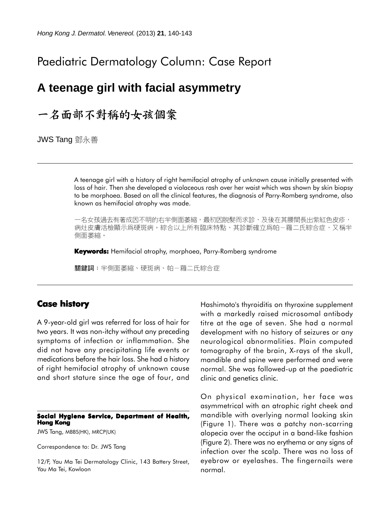# Paediatric Dermatology Column: Case Report

## **A teenage girl with facial asymmetry**

# 一名面部不對稱的女孩個案

JWS Tang 鄧永善

A teenage girl with a history of right hemifacial atrophy of unknown cause initially presented with loss of hair. Then she developed a violaceous rash over her waist which was shown by skin biopsy to be morphoea. Based on all the clinical features, the diagnosis of Parry-Romberg syndrome, also known as hemifacial atrophy was made.

一名女孩過去有著成因不明的右半側面萎縮,最初因脱髮而求診,及後在其腰間長出紫紅色皮疹, 病灶皮膚活檢顯示爲硬斑病。綜合以上所有臨床特點,其診斷確立爲帕-羅二氏綜合症,又稱半 側面萎縮。

**Keywords:** Hemifacial atrophy, morphoea, Parry-Romberg syndrome

關鍵詞:半側面萎縮、硬斑病、帕-羅二氏綜合症

### **Case history**

A 9-year-old girl was referred for loss of hair for two years. It was non-itchy without any preceding symptoms of infection or inflammation. She did not have any precipitating life events or medications before the hair loss. She had a history of right hemifacial atrophy of unknown cause and short stature since the age of four, and

#### **Social Hygiene Service, Department of Health, Hong Kong**

JWS Tang, MBBS(HK), MRCP(UK)

Correspondence to: Dr. JWS Tang

12/F, Yau Ma Tei Dermatology Clinic, 143 Battery Street, Yau Ma Tei, Kowloon

Hashimoto's thyroiditis on thyroxine supplement with a markedly raised microsomal antibody titre at the age of seven. She had a normal development with no history of seizures or any neurological abnormalities. Plain computed tomography of the brain, X-rays of the skull, mandible and spine were performed and were normal. She was followed-up at the paediatric clinic and genetics clinic.

On physical examination, her face was asymmetrical with an atrophic right cheek and mandible with overlying normal looking skin (Figure 1). There was a patchy non-scarring alopecia over the occiput in a band-like fashion (Figure 2). There was no erythema or any signs of infection over the scalp. There was no loss of eyebrow or eyelashes. The fingernails were normal.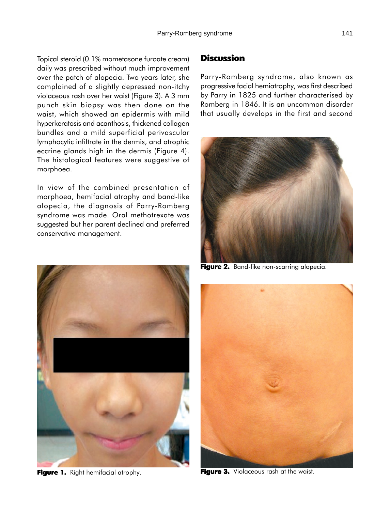Topical steroid (0.1% mometasone furoate cream) daily was prescribed without much improvement over the patch of alopecia. Two years later, she complained of a slightly depressed non-itchy violaceous rash over her waist (Figure 3). A 3 mm punch skin biopsy was then done on the waist, which showed an epidermis with mild hyperkeratosis and acanthosis, thickened collagen bundles and a mild superficial perivascular lymphocytic infiltrate in the dermis, and atrophic eccrine glands high in the dermis (Figure 4). The histological features were suggestive of morphoea.

In view of the combined presentation of morphoea, hemifacial atrophy and band-like alopecia, the diagnosis of Parry-Romberg syndrome was made. Oral methotrexate was suggested but her parent declined and preferred conservative management.



**Figure 1.** Right hemifacial atrophy.

### **Discussion**

Parry-Romberg syndrome, also known as progressive facial hemiatrophy, was first described by Parry in 1825 and further characterised by Romberg in 1846. It is an uncommon disorder that usually develops in the first and second



**Figure 2.** Band-like non-scarring alopecia.



**Figure 3.** Violaceous rash at the waist.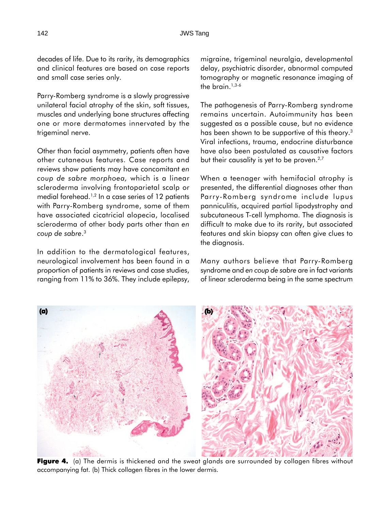decades of life. Due to its rarity, its demographics and clinical features are based on case reports and small case series only.

Parry-Romberg syndrome is a slowly progressive unilateral facial atrophy of the skin, soft tissues, muscles and underlying bone structures affecting one or more dermatomes innervated by the trigeminal nerve.

Other than facial asymmetry, patients often have other cutaneous features. Case reports and reviews show patients may have concomitant *en coup de sabre morphoea,* which is a linear scleroderma involving frontoparietal scalp or medial forehead.<sup>1,2</sup> In a case series of 12 patients with Parry-Romberg syndrome, some of them have associated cicatricial alopecia, localised scleroderma of other body parts other than *en* **(a)** *coup de sabre*. 3

In addition to the dermatological features, neurological involvement has been found in a proportion of patients in reviews and case studies, ranging from 11% to 36%. They include epilepsy, migraine, trigeminal neuralgia, developmental delay, psychiatric disorder, abnormal computed tomography or magnetic resonance imaging of the brain. $1,3-6$ 

The pathogenesis of Parry-Romberg syndrome remains uncertain. Autoimmunity has been suggested as a possible cause, but no evidence has been shown to be supportive of this theory.<sup>3</sup> Viral infections, trauma, endocrine disturbance have also been postulated as causative factors but their causality is yet to be proven.<sup>2,7</sup>

When a teenager with hemifacial atrophy is presented, the differential diagnoses other than Parry-Romberg syndrome include lupus panniculitis, acquired partial lipodystrophy and subcutaneous T-cell lymphoma. The diagnosis is difficult to make due to its rarity, but associated features and skin biopsy can often give clues to the diagnosis.

Many authors believe that Parry-Romberg syndrome and *en coup de sabre* are in fact variants of linear scleroderma being in the same spectrum



**Figure 4.** (a) The dermis is thickened and the sweat glands are surrounded by collagen fibres without accompanying fat. (b) Thick collagen fibres in the lower dermis.